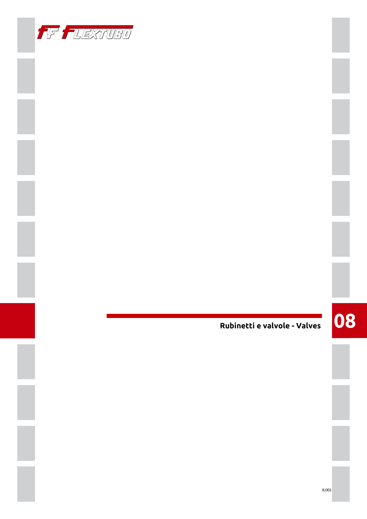

# 08

**Rubinetti e valvole - Valves**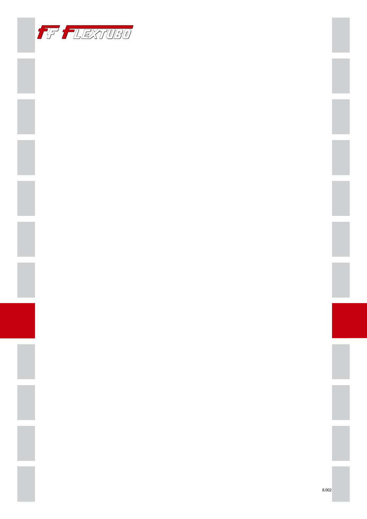

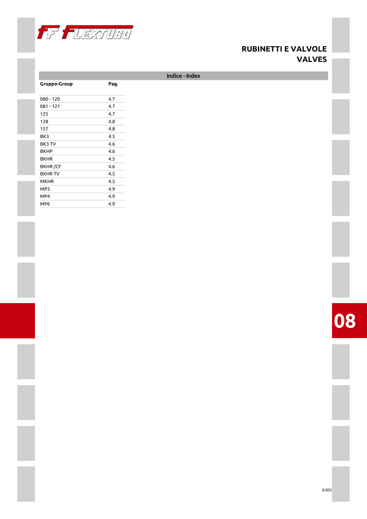

<span id="page-2-0"></span>

|               |      | -----          |  |
|---------------|------|----------------|--|
|               |      |                |  |
|               |      | Indice - Index |  |
| Gruppo-Group  | Pag. |                |  |
|               |      |                |  |
| $080 - 120$   | 4.7  |                |  |
| $081 - 121$   | 4.7  |                |  |
| 125           | 4.7  |                |  |
| 128           | 4.8  |                |  |
| 157           | 4.8  |                |  |
| BK3           | 4.5  |                |  |
| BK3 TV        | 4.6  |                |  |
| <b>BKHP</b>   | 4.6  |                |  |
| <b>BKHR</b>   | 4.5  |                |  |
| BKHR/CF       | 4.6  |                |  |
| <b>BKHRTV</b> | 4.5  |                |  |
| <b>MKHR</b>   | 4.5  |                |  |
| MP3           | 4.9  |                |  |
| MP4           | 4.9  |                |  |
| MP6           | 4.9  |                |  |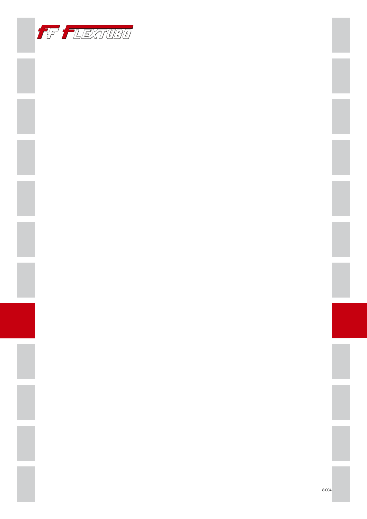

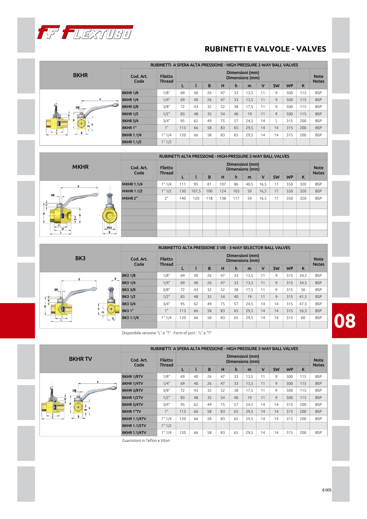

<span id="page-4-4"></span><span id="page-4-1"></span>

|             |                   | RUBINETTI A SFERA ALTA PRESSIONE - HIGH PRESSURE 2-WAY BALL VALVES |     |    |    |    |    |                                    |              |           |           |     |                             |
|-------------|-------------------|--------------------------------------------------------------------|-----|----|----|----|----|------------------------------------|--------------|-----------|-----------|-----|-----------------------------|
| <b>BKHR</b> | Cod. Art.<br>Code | <b>Filetto</b><br><b>Thread</b>                                    |     |    |    |    |    | Dimensioni (mm)<br>Dimensions (mm) |              |           |           |     | <b>Note</b><br><b>Notes</b> |
|             |                   |                                                                    | ┖   |    | B  | н  | h  | m                                  | $\mathsf{V}$ | <b>SW</b> | <b>WP</b> | K   |                             |
|             | <b>BKHR 1/8</b>   | 1/8"                                                               | 69  | 40 | 26 | 47 | 33 | 13,5                               | 11           | 9         | 500       | 115 | <b>BSP</b>                  |
| к           | <b>BKHR 1/4</b>   | 1/4"                                                               | 69  | 40 | 26 | 47 | 33 | 13,5                               | 11           | 9         | 500       | 115 | <b>BSP</b>                  |
| sw          | <b>BKHR 3/8</b>   | 3/8"                                                               | 72  | 43 | 32 | 52 | 38 | 17,5                               | 11           | 9         | 500       | 115 | <b>BSP</b>                  |
|             | <b>BKHR 1/2</b>   | $1/2$ "                                                            | 83  | 48 | 35 | 54 | 40 | 19                                 | 11           | 9         | 500       | 115 | <b>BSP</b>                  |
| a.          | <b>BKHR 3/4</b>   | 3/4"                                                               | 95  | 62 | 49 | 75 | 57 | 24,5                               | 14           |           | 315       | 200 | <b>BSP</b>                  |
| m           | BKHR 1"           | $4$ <sup><math>  </math></sup>                                     | 113 | 66 | 58 | 83 | 65 | 29,5                               | 14           | 14        | 315       | 200 | <b>BSP</b>                  |
|             | <b>BKHR 1.1/4</b> | 1" 1/4                                                             | 120 | 66 | 58 | 83 | 65 | 29,5                               | 14           | 14        | 315       | 200 | <b>BSP</b>                  |
|             | <b>BKHR 1.1/2</b> | 1" 1/2                                                             |     |    |    |    |    |                                    |              |           |           |     |                             |

<span id="page-4-5"></span><span id="page-4-3"></span>

|                    |             |                   | RUBINETTI ALTA PRESSIONE - HIGH-PRESSURE 2-WAY BALL VALVES |     |       |     |     |     |                                    |              |           |           |     |                             |
|--------------------|-------------|-------------------|------------------------------------------------------------|-----|-------|-----|-----|-----|------------------------------------|--------------|-----------|-----------|-----|-----------------------------|
|                    | <b>MKHR</b> | Cod. Art.<br>Code | <b>Filetto</b><br><b>Thread</b>                            |     |       |     |     |     | Dimensioni (mm)<br>Dimensions (mm) |              |           |           |     | <b>Note</b><br><b>Notes</b> |
|                    |             |                   |                                                            | L   |       | B   | н   | h   | m                                  | $\mathsf{V}$ | <b>SW</b> | <b>WP</b> | K   |                             |
|                    |             | <b>MKHR 1.1/4</b> | 1" 1/4                                                     | 111 | 95    | 81  | 107 | 86  | 40,5                               | 16,5         | 17        | 350       | 320 | <b>BSP</b>                  |
| SW                 |             | <b>MKHR 1.1/2</b> | 1" 1/2                                                     | 130 | 107,5 | 100 | 124 | 103 | 50                                 | 16,5         | 17        | 350       | 320 | <b>BSP</b>                  |
|                    |             | MKHR 2"           | 2"                                                         | 140 | 120   | 118 | 138 | 117 | 59                                 | 16,5         | 17        | 350       | 320 | <b>BSP</b>                  |
|                    |             |                   |                                                            |     |       |     |     |     |                                    |              |           |           |     |                             |
|                    |             |                   |                                                            |     |       |     |     |     |                                    |              |           |           |     |                             |
|                    |             |                   |                                                            |     |       |     |     |     |                                    |              |           |           |     |                             |
| $\mathbf{n}$<br>12 | SW2         |                   |                                                            |     |       |     |     |     |                                    |              |           |           |     |                             |
|                    |             |                   |                                                            |     |       |     |     |     |                                    |              |           |           |     |                             |

<span id="page-4-6"></span><span id="page-4-0"></span>

|                 |                   | <b>RUBINETTO ALTA PRESSIONE 3 VIE - 3-WAY SELECTOR BALL VALVES</b> |     |    |    |    |    |                                    |    |           |           |      |                             |
|-----------------|-------------------|--------------------------------------------------------------------|-----|----|----|----|----|------------------------------------|----|-----------|-----------|------|-----------------------------|
| BK <sub>3</sub> | Cod. Art.<br>Code | <b>Filetto</b><br><b>Thread</b>                                    |     |    |    |    |    | Dimensioni (mm)<br>Dimensions (mm) |    |           |           |      | <b>Note</b><br><b>Notes</b> |
|                 |                   |                                                                    |     |    | B  | н  | h  | m                                  | V  | <b>SW</b> | <b>WP</b> | K    |                             |
| K<br>$-5$       | <b>BK3 1/8</b>    | 1/8"                                                               | 69  | 40 | 26 | 47 | 33 | 13,5                               | 11 | 9         | 315       | 34,5 | <b>BSP</b>                  |
|                 | <b>BK3 1/4</b>    | 1/4"                                                               | 69  | 40 | 26 | 47 | 33 | 13,5                               | 11 | 9         | 315       | 34,5 | <b>BSP</b>                  |
| sw              | <b>BK3 3/8</b>    | 3/8"                                                               | 72  | 43 | 32 | 52 | 38 | 17,5                               | 11 | 9         | 315       | 36   | <b>BSP</b>                  |
|                 | <b>BK3 1/2</b>    | 1/2"                                                               | 83  | 48 | 35 | 54 | 40 | 19                                 | 11 | 9         | 315       | 41,5 | <b>BSP</b>                  |
|                 | <b>BK3 3/4</b>    | 3/4"                                                               | 95  | 62 | 49 | 75 | 57 | 24,5                               | 14 | 14        | 315       | 47,5 | <b>BSP</b>                  |
| m               | <b>BK31"</b>      | $4$ <sup><math>  </math></sup>                                     | 113 | 66 | 58 | 83 | 65 | 29,5                               | 14 | 14        | 315       | 56,5 | <b>BSP</b>                  |
| B               | BK3 1.1/4         | 1" 1/4                                                             | 120 | 66 | 58 | 83 | 65 | 29,5                               | 14 | 14        | 315       | 60   | <b>BSP</b>                  |
|                 |                   |                                                                    |     |    |    |    |    |                                    |    |           |           |      |                             |

Disponibile versione "L" e "T" - Form of port : "L" e "T"

<span id="page-4-2"></span>

|               |                     | RUBINETTI A SFERA ALTA PRESSIONE - HIGH PRESSURE 2-WAY BALL VALVES |     |    |    |    |    |                                    |              |           |           |     |                             |
|---------------|---------------------|--------------------------------------------------------------------|-----|----|----|----|----|------------------------------------|--------------|-----------|-----------|-----|-----------------------------|
| <b>BKHRTV</b> | Cod. Art.<br>Code   | <b>Filetto</b><br><b>Thread</b>                                    |     |    |    |    |    | Dimensioni (mm)<br>Dimensions (mm) |              |           |           |     | <b>Note</b><br><b>Notes</b> |
|               |                     |                                                                    |     |    | B  | н  | h  | m                                  | $\mathsf{V}$ | <b>SW</b> | <b>WP</b> | K   |                             |
|               | <b>BKHR 1/8TV</b>   | 1/8"                                                               | 69  | 40 | 26 | 47 | 33 | 13,5                               | 11           | 9         | 500       | 115 | <b>BSP</b>                  |
| к             | <b>BKHR 1/4TV</b>   | 1/4"                                                               | 69  | 40 | 26 | 47 | 33 | 13,5                               | 11           | 9         | 500       | 115 | <b>BSP</b>                  |
| sw            | <b>BKHR 3/8TV</b>   | 3/8"                                                               | 72  | 43 | 32 | 52 | 38 | 17,5                               | 11           | 9         | 500       | 115 | <b>BSP</b>                  |
|               | <b>BKHR 1/2TV</b>   | 1/2"                                                               | 83  | 48 | 35 | 54 | 40 | 19                                 | 11           | 9         | 500       | 115 | <b>BSP</b>                  |
|               | <b>BKHR 3/4TV</b>   | 3/4"                                                               | 95  | 62 | 49 | 75 | 57 | 24,5                               | 14           | 14        | 315       | 200 | <b>BSP</b>                  |
| m             | <b>BKHR 1"TV</b>    | 1"                                                                 | 113 | 66 | 58 | 83 | 65 | 29,5                               | 14           | 14        | 315       | 200 | <b>BSP</b>                  |
|               | <b>BKHR 1.1/4TV</b> | 1" 1/4                                                             | 120 | 66 | 58 | 83 | 65 | 29,5                               | 14           | 14        | 315       | 200 | <b>BSP</b>                  |
|               | <b>BKHR 1.1/2TV</b> | 1" 1/2                                                             |     |    |    |    |    |                                    |              |           |           |     |                             |
|               | <b>BKHR 1.1/4TV</b> | 1" 1/4                                                             | 120 | 66 | 58 | 83 | 65 | 29,5                               | 14           | 14        | 315       | 200 | <b>BSP</b>                  |

Guarnizioni in Teflon e Viton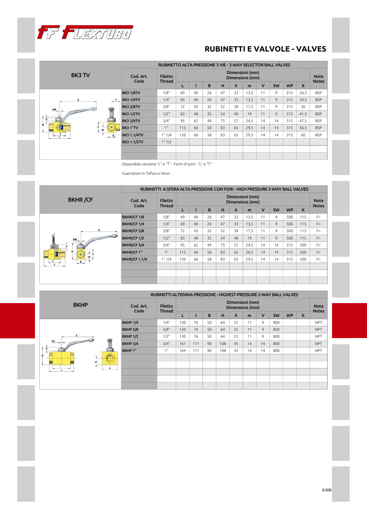

<span id="page-5-3"></span><span id="page-5-0"></span>

|                         |               |                    | <b>RUBINETTO ALTA PRESSIONE 3 VIE - 3-WAY SELECTOR BALL VALVES</b> |     |    |    |    |    |                                    |              |           |           |      |                             |
|-------------------------|---------------|--------------------|--------------------------------------------------------------------|-----|----|----|----|----|------------------------------------|--------------|-----------|-----------|------|-----------------------------|
|                         | <b>BK3 TV</b> | Cod. Art.<br>Code  | <b>Filetto</b><br><b>Thread</b>                                    |     |    |    |    |    | Dimensioni (mm)<br>Dimensions (mm) |              |           |           |      | <b>Note</b><br><b>Notes</b> |
|                         |               |                    |                                                                    | L   |    | B  | H  | h  | m                                  | $\mathsf{V}$ | <b>SW</b> | <b>WP</b> | K    |                             |
|                         |               | <b>BK3 1/8TV</b>   | 1/8"                                                               | 69  | 40 | 26 | 47 | 33 | 13,5                               | 11           | 9         | 315       | 34,5 | <b>BSP</b>                  |
|                         | ĸ<br>$-$ s    | <b>BK3 1/4TV</b>   | 1/4"                                                               | 69  | 40 | 26 | 47 | 33 | 13,5                               | 11           | 9         | 315       | 34,5 | <b>BSP</b>                  |
| SW_                     |               | <b>BK3 3/8TV</b>   | 3/8"                                                               | 72  | 43 | 32 | 52 | 38 | 17,5                               | 11           | 9         | 315       | 36   | <b>BSP</b>                  |
|                         |               | <b>BK3 1/2TV</b>   | $1/2$ "                                                            | 83  | 48 | 35 | 54 | 40 | 19                                 | 11           | 9         | 315       | 41,5 | <b>BSP</b>                  |
| $\overline{\mathbf{v}}$ |               | <b>BK3 3/4TV</b>   | 3/4"                                                               | 95  | 62 | 49 | 75 | 57 | 24,5                               | 14           | 14        | 315       | 47,5 | <b>BSP</b>                  |
|                         | i.<br>m       | <b>BK3 1"TV</b>    | 1"                                                                 | 113 | 66 | 58 | 83 | 65 | 29,5                               | 14           | 14        | 315       | 56,5 | <b>BSP</b>                  |
|                         |               | <b>BK3 1.1/4TV</b> | 1" 1/4                                                             | 120 | 66 | 58 | 83 | 65 | 29,5                               | 14           | 14        | 315       | 60   | <b>BSP</b>                  |
|                         |               | <b>BK3 1.1/2TV</b> | 1" 1/2                                                             |     |    |    |    |    |                                    |              |           |           |      |                             |
|                         |               |                    |                                                                    |     |    |    |    |    |                                    |              |           |           |      |                             |
|                         |               |                    |                                                                    |     |    |    |    |    |                                    |              |           |           |      |                             |

Disponibile versione "L" e "T" - Form of port : "L" e "T"

Guarnizioni in Teflon e Viton

<span id="page-5-4"></span><span id="page-5-2"></span>

|                |                      | RUBINETTI A SFERA ALTA PRESSIONE CON FORI - HIGH PRESSURE 2-WAY BALL VALVES |     |    |    |    |    |                                    |              |           |           |     |                             |
|----------------|----------------------|-----------------------------------------------------------------------------|-----|----|----|----|----|------------------------------------|--------------|-----------|-----------|-----|-----------------------------|
| <b>BKHR/CF</b> | Cod. Art.<br>Code    | <b>Filetto</b><br><b>Thread</b>                                             |     |    |    |    |    | Dimensioni (mm)<br>Dimensions (mm) |              |           |           |     | <b>Note</b><br><b>Notes</b> |
|                |                      |                                                                             |     |    | B  | н  | h  | m                                  | $\mathsf{V}$ | <b>SW</b> | <b>WP</b> | K   |                             |
|                | BKHR/CF 1/8          | 1/8"                                                                        | 69  | 40 | 26 | 47 | 33 | 13,5                               | 11           | 9         | 500       | 115 | $F =$                       |
|                | BKHR/CF 1/4          | 1/4"                                                                        | 69  | 40 | 26 | 47 | 33 | 13,5                               | 11           | 9         | 500       | 115 | $F =$                       |
|                | BKHR/CF3/8           | 3/8"                                                                        | 72  | 43 | 32 | 52 | 38 | 17,5                               | 11           | 9         | 500       | 115 | $F =$                       |
| <b>SW</b>      | BKHR/CF 1/2          | 1/2"                                                                        | 83  | 48 | 35 | 54 | 40 | 19                                 | 11           | 9         | 500       | 115 | $F =$                       |
|                | BKHR/CF3/4           | 3/4"                                                                        | 95  | 62 | 49 | 75 | 57 | 24,5                               | 14           | 14        | 315       | 200 | $F =$                       |
|                | <b>BKHR/CF1"</b>     | 1"                                                                          | 113 | 66 | 58 | 83 | 65 | 29,5                               | 14           | 14        | 315       | 200 | $F =$                       |
|                | <b>BKHR/CF 1.1/4</b> | 1" 1/4                                                                      | 120 | 66 | 58 | 83 | 65 | 29,5                               | 14           | 14        | 315       | 200 | $F =$                       |
|                |                      |                                                                             |     |    |    |    |    |                                    |              |           |           |     |                             |
|                |                      |                                                                             |     |    |    |    |    |                                    |              |           |           |     |                             |
|                |                      |                                                                             |     |    |    |    |    |                                    |              |           |           |     |                             |

<span id="page-5-5"></span><span id="page-5-1"></span>

|             |                   | RUBINETTI ALTISSIMA PRESSIONE - HIGHEST-PRESSURE 2-WAY BALL VALVES |     |     |    |     |                                    |    |              |           |           |              |                             |
|-------------|-------------------|--------------------------------------------------------------------|-----|-----|----|-----|------------------------------------|----|--------------|-----------|-----------|--------------|-----------------------------|
| <b>BKHP</b> | Cod. Art.<br>Code | <b>Filetto</b><br><b>Thread</b>                                    |     |     |    |     | Dimensioni (mm)<br>Dimensions (mm) |    |              |           |           |              | <b>Note</b><br><b>Notes</b> |
|             |                   |                                                                    | ш   |     | B  | н   | h.                                 | m  | $\mathsf{V}$ | <b>SW</b> | <b>WP</b> | $\mathsf{K}$ |                             |
|             | <b>BKHP 1/4</b>   | 1/4"                                                               | 130 | 76  | 50 | 64  | 25                                 | 11 | 9            | 800       |           |              | <b>NPT</b>                  |
|             | <b>BKHP 3/8</b>   | 3/8"                                                               | 130 | 76  | 50 | 64  | 25                                 | 11 | 9            | 800       |           |              | <b>NPT</b>                  |
| x<br>sw     | <b>BKHP 1/2</b>   | 1/2"                                                               | 130 | 76  | 50 | 64  | 25                                 | 11 | 9            | 800       |           |              | <b>NPT</b>                  |
|             | <b>BKHP 3/4</b>   | 3/4"                                                               | 161 | 111 | 90 | 108 | 45                                 | 14 | 14           | 800       |           |              | <b>NPT</b>                  |
|             | BKHP 1"           | 1"                                                                 | 164 | 111 | 90 | 108 | 45                                 | 14 | 14           | 800       |           |              | <b>NPT</b>                  |
| H.<br>m     |                   |                                                                    |     |     |    |     |                                    |    |              |           |           |              |                             |
|             |                   |                                                                    |     |     |    |     |                                    |    |              |           |           |              |                             |
|             |                   |                                                                    |     |     |    |     |                                    |    |              |           |           |              |                             |
|             |                   |                                                                    |     |     |    |     |                                    |    |              |           |           |              |                             |
|             |                   |                                                                    |     |     |    |     |                                    |    |              |           |           |              |                             |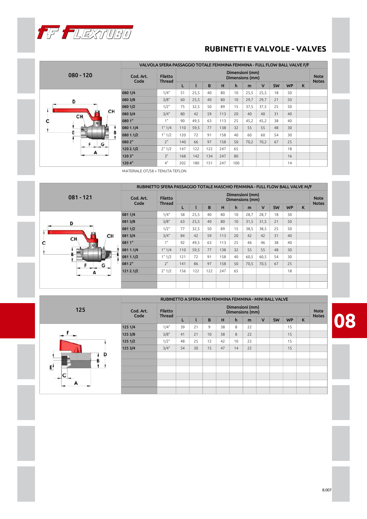

 $\mathbf{c}$  $\mathbf{r}$ 

#### **[RUBINETTI E VALVOLE - VALVES](#page-2-0)**

<span id="page-6-3"></span><span id="page-6-0"></span>

|                 |                   | VALVOLA SFERA PASSAGGIO TOTALE FEMMINA FEMMINA - FULL FLOW BALL VALVE F/F |     |      |     |     |     |                                    |              |           |           |   |                             |
|-----------------|-------------------|---------------------------------------------------------------------------|-----|------|-----|-----|-----|------------------------------------|--------------|-----------|-----------|---|-----------------------------|
| $080 - 120$     | Cod. Art.<br>Code | <b>Filetto</b><br><b>Thread</b>                                           |     |      |     |     |     | Dimensioni (mm)<br>Dimensions (mm) |              |           |           |   | <b>Note</b><br><b>Notes</b> |
|                 |                   |                                                                           | L   |      | B   | н   | h   | m                                  | $\mathsf{V}$ | <b>SW</b> | <b>WP</b> | K |                             |
|                 | 080 1/4           | 1/4"                                                                      | 51  | 25,5 | 40  | 80  | 10  | 25,5                               | 25,5         | 18        | 50        |   |                             |
| D               | 0803/8            | 3/8"                                                                      | 60  | 25,5 | 40  | 80  | 10  | 29,7                               | 29,7         | 21        | 50        |   |                             |
|                 | 080 1/2           | 1/2"                                                                      | 75  | 32,5 | 50  | 89  | 15  | 37,5                               | 37,5         | 25        | 50        |   |                             |
| CН<br><b>CH</b> | 0803/4            | 3/4"                                                                      | 80  | 42   | 59  | 113 | 20  | 40                                 | 40           | 31        | 40        |   |                             |
| с<br>ЮI         | 080 1"            | 1"                                                                        | 90  | 49,5 | 63  | 113 | 25  | 45,2                               | 45,2         | 38        | 40        |   |                             |
|                 | 080 1.1/4         | 1" 1/4                                                                    | 110 | 59,5 | 77  | 138 | 32  | 55                                 | 55           | 48        | 30        |   |                             |
|                 | 080 1.1/2         | 1" 1/2                                                                    | 120 | 72   | 91  | 158 | 40  | 60                                 | 60           | 54        | 30        |   |                             |
| G               | 0802"             | 2"                                                                        | 140 | 66   | 97  | 158 | 50  | 70,2                               | 70,2         | 67        | 25        |   |                             |
|                 | 120 2.1/2         | 2" 1/2                                                                    | 147 | 122  | 122 | 247 | 65  |                                    |              |           | 18        |   |                             |
| А               | 1203"             | 3"                                                                        | 168 | 142  | 134 | 247 | 80  |                                    |              |           | 16        |   |                             |
|                 | 1204"             | 4"                                                                        | 202 | 180  | 151 | 247 | 100 |                                    |              |           | 14        |   |                             |

MATERIALE OT/58 + TENUTA TEFLON

<span id="page-6-4"></span><span id="page-6-1"></span>

|                             | RUBINETTO SFERA PASSAGGIO TOTALE MASCHIO FEMMINA - FULL FLOW BALL VALVE M/F |                                 |     |      |     |     |    |                                    |              |           |           |   |                             |
|-----------------------------|-----------------------------------------------------------------------------|---------------------------------|-----|------|-----|-----|----|------------------------------------|--------------|-----------|-----------|---|-----------------------------|
| $081 - 121$                 | Cod. Art.<br>Code                                                           | <b>Filetto</b><br><b>Thread</b> |     |      |     |     |    | Dimensioni (mm)<br>Dimensions (mm) |              |           |           |   | <b>Note</b><br><b>Notes</b> |
|                             |                                                                             |                                 | L   |      | B   | н   | h  | m                                  | $\mathsf{V}$ | <b>SW</b> | <b>WP</b> | K |                             |
|                             | 0811/4                                                                      | 1/4"                            | 58  | 25,5 | 40  | 80  | 10 | 28,7                               | 28,7         | 18        | 50        |   |                             |
| D                           | 0813/8                                                                      | 3/8"                            | 63  | 25,5 | 40  | 80  | 10 | 31,5                               | 31,5         | 21        | 50        |   |                             |
|                             | 081 1/2                                                                     | 1/2"                            | 77  | 32,5 | 50  | 89  | 15 | 38,5                               | 38,5         | 25        | 50        |   |                             |
| CН<br>CH.                   | 0813/4                                                                      | 3/4"                            | 84  | 42   | 59  | 113 | 20 | 42                                 | 42           | 31        | 40        |   |                             |
| c<br>$\overline{\bullet}$ . | 0811"                                                                       | 1"                              | 92  | 49,5 | 63  | 113 | 25 | 46                                 | 46           | 38        | 40        |   |                             |
|                             | 081 1.1/4                                                                   | 1" 1/4                          | 110 | 59,5 | 77  | 138 | 32 | 55                                 | 55           | 48        | 30        |   |                             |
|                             | 081 1.1/2                                                                   | 1" 1/2                          | 121 | 72   | 91  | 158 | 40 | 60,5                               | 60,5         | 54        | 30        |   |                             |
| G                           | 0812"                                                                       | 2"                              | 141 | 86   | 97  | 158 | 50 | 70,5                               | 70,5         | 67        | 25        |   |                             |
| А                           | 121 2.1/2                                                                   | 2" 1/2                          | 156 | 122  | 122 | 247 | 65 |                                    |              |           | 18        |   |                             |
|                             |                                                                             |                                 |     |      |     |     |    |                                    |              |           |           |   |                             |
|                             |                                                                             |                                 |     |      |     |     |    |                                    |              |           |           |   |                             |

<span id="page-6-6"></span><span id="page-6-5"></span><span id="page-6-2"></span>

|        |                   | RUBINETTO A SFERA MINI FEMMINA FEMMINA - MINI BALL VALVE |    |    |    |    |    |                                    |              |           |           |   |                             |
|--------|-------------------|----------------------------------------------------------|----|----|----|----|----|------------------------------------|--------------|-----------|-----------|---|-----------------------------|
| 125    | Cod. Art.<br>Code | <b>Filetto</b><br>Thread                                 |    |    |    |    |    | Dimensioni (mm)<br>Dimensions (mm) |              |           |           |   | <b>Note</b><br><b>Notes</b> |
|        |                   |                                                          | L  |    | B  | н  | h  | m                                  | $\mathsf{V}$ | <b>SW</b> | <b>WP</b> | K |                             |
|        | 125 1/4           | 1/4"                                                     | 39 | 21 | 9  | 38 | 8  | 22                                 |              |           | 15        |   |                             |
|        | 125 3/8           | 3/8"                                                     | 41 | 21 | 10 | 38 | 8  | 22                                 |              |           | 15        |   |                             |
|        | 1251/2            | 1/2"                                                     | 48 | 25 | 12 | 42 | 10 | 22                                 |              |           | 15        |   |                             |
|        | 125 3/4           | 3/4"                                                     | 54 | 30 | 15 | 47 | 14 | 22                                 |              |           | 15        |   |                             |
| D<br>o |                   |                                                          |    |    |    |    |    |                                    |              |           |           |   |                             |
| E,     |                   |                                                          |    |    |    |    |    |                                    |              |           |           |   |                             |
| А      |                   |                                                          |    |    |    |    |    |                                    |              |           |           |   |                             |
|        |                   |                                                          |    |    |    |    |    |                                    |              |           |           |   |                             |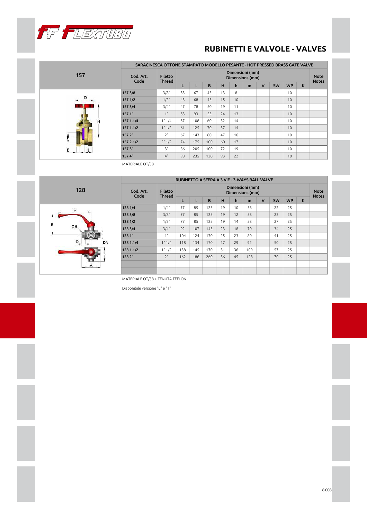

<span id="page-7-1"></span>

|     | SARACINESCA OTTONE STAMPATO MODELLO PESANTE - HOT PRESSED BRASS GATE VALVE |                          |    |     |     |    |    |                                    |              |           |           |   |                             |
|-----|----------------------------------------------------------------------------|--------------------------|----|-----|-----|----|----|------------------------------------|--------------|-----------|-----------|---|-----------------------------|
| 157 | Cod. Art.<br>Code                                                          | Filetto<br><b>Thread</b> |    |     |     |    |    | Dimensioni (mm)<br>Dimensions (mm) |              |           |           |   | <b>Note</b><br><b>Notes</b> |
|     |                                                                            |                          | ш  |     | B   | н  | h  | m                                  | $\mathsf{V}$ | <b>SW</b> | <b>WP</b> | K |                             |
|     | 157 3/8                                                                    | 3/8"                     | 33 | 67  | 45  | 13 | 8  |                                    |              |           | 10        |   |                             |
|     | 1571/2                                                                     | 1/2"                     | 43 | 68  | 45  | 15 | 10 |                                    |              |           | 10        |   |                             |
|     | 157 3/4                                                                    | 3/4"                     | 47 | 78  | 50  | 19 | 11 |                                    |              |           | 10        |   |                             |
|     | 1571"                                                                      | 1"                       | 53 | 93  | 55  | 24 | 13 |                                    |              |           | 10        |   |                             |
| н   | 157 1.1/4                                                                  | 1" 1/4                   | 57 | 108 | 60  | 32 | 14 |                                    |              |           | 10        |   |                             |
|     | 157 1.1/2                                                                  | 1" 1/2                   | 61 | 125 | 70  | 37 | 14 |                                    |              |           | 10        |   |                             |
|     | 1572"                                                                      | 2"                       | 67 | 143 | 80  | 47 | 16 |                                    |              |           | 10        |   |                             |
|     | 157 2.1/2                                                                  | 2" 1/2                   | 74 | 175 | 100 | 60 | 17 |                                    |              |           | 10        |   |                             |
|     | 1573"                                                                      | 3"                       | 86 | 205 | 100 | 72 | 19 |                                    |              |           | 10        |   |                             |
|     | 1574"                                                                      | 4"                       | 98 | 235 | 120 | 93 | 22 |                                    |              |           | 10        |   |                             |

MATERIALE OT/58

<span id="page-7-3"></span><span id="page-7-2"></span><span id="page-7-0"></span>

|         |                   |                                 |     |     | RUBINETTO A SFERA A 3 VIE - 3-WAYS BALL VALVE |    |    |                                    |              |           |           |   |                             |
|---------|-------------------|---------------------------------|-----|-----|-----------------------------------------------|----|----|------------------------------------|--------------|-----------|-----------|---|-----------------------------|
| 128     | Cod. Art.<br>Code | <b>Filetto</b><br><b>Thread</b> |     |     |                                               |    |    | Dimensioni (mm)<br>Dimensions (mm) |              |           |           |   | <b>Note</b><br><b>Notes</b> |
|         |                   |                                 | ш   |     | B                                             | н  | h  | m                                  | $\mathsf{V}$ | <b>SW</b> | <b>WP</b> | K |                             |
| C       | 128 1/4           | 1/4"                            | 77  | 85  | 125                                           | 19 | 10 | 58                                 |              | 22        | 25        |   |                             |
|         | 128 3/8           | 3/8"                            | 77  | 85  | 125                                           | 19 | 12 | 58                                 |              | 22        | 25        |   |                             |
|         | 128 1/2           | 1/2"                            | 77  | 85  | 125                                           | 19 | 14 | 58                                 |              | 27        | 25        |   |                             |
| CH      | 128 3/4           | 3/4"                            | 92  | 107 | 145                                           | 23 | 18 | 70                                 |              | 34        | 25        |   |                             |
|         | 128 1"            | 1"                              | 104 | 124 | 170                                           | 25 | 23 | 80                                 |              | 41        | 25        |   |                             |
| D<br>DN | 128 1.1/4         | 1" 1/4                          | 118 | 134 | 170                                           | 27 | 29 | 92                                 |              | 50        | 25        |   |                             |
|         | 128 1.1/2         | 1" 1/2                          | 138 | 145 | 170                                           | 31 | 36 | 109                                |              | 57        | 25        |   |                             |
|         | 1282"             | 2"                              | 162 | 186 | 260                                           | 36 | 45 | 128                                |              | 70        | 25        |   |                             |
|         |                   |                                 |     |     |                                               |    |    |                                    |              |           |           |   |                             |
|         |                   |                                 |     |     |                                               |    |    |                                    |              |           |           |   |                             |

MATERIALE OT/58 + TENUTA TEFLON

Disponibile versione "L" e "T"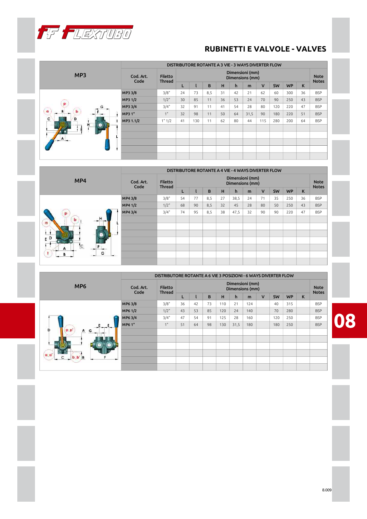

<span id="page-8-0"></span>

|                 |                   |                                 |    |     |     |    |    | DISTRIBUTORE ROTANTE A 3 VIE - 3 WAYS DIVERTER FLOW |              |     |           |    |                             |
|-----------------|-------------------|---------------------------------|----|-----|-----|----|----|-----------------------------------------------------|--------------|-----|-----------|----|-----------------------------|
| MP <sub>3</sub> | Cod. Art.<br>Code | <b>Filetto</b><br><b>Thread</b> |    |     |     |    |    | Dimensioni (mm)<br>Dimensions (mm)                  |              |     |           |    | <b>Note</b><br><b>Notes</b> |
|                 |                   |                                 | L. |     | B   | H  | h  | m                                                   | $\mathsf{V}$ | SW  | <b>WP</b> | K  |                             |
| p<br>G          | MP3 3/8           | 3/8"                            | 24 | 73  | 8,5 | 31 | 42 | 21                                                  | 62           | 60  | 300       | 36 | <b>BSP</b>                  |
|                 | MP3 1/2           | 1/2"                            | 30 | 85  | 11  | 36 | 53 | 24                                                  | 70           | 90  | 250       | 43 | <b>BSP</b>                  |
|                 | MP3 3/4           | 3/4"                            | 32 | 91  | 11  | 41 | 54 | 28                                                  | 80           | 120 | 220       | 47 | <b>BSP</b>                  |
| $\alpha$<br>ь   | MP3 1"            | 1"                              | 32 | 98  | 11  | 50 | 64 | 31,5                                                | 90           | 180 | 220       | 51 | <b>BSP</b>                  |
| $\mathsf{c}$    | MP3 1.1/2         | 1" 1/2                          | 41 | 130 | 11  | 62 | 80 | 44                                                  | 115          | 280 | 200       | 64 | <b>BSP</b>                  |
|                 |                   |                                 |    |     |     |    |    |                                                     |              |     |           |    |                             |
|                 |                   |                                 |    |     |     |    |    |                                                     |              |     |           |    |                             |
| A               |                   |                                 |    |     |     |    |    |                                                     |              |     |           |    |                             |
|                 |                   |                                 |    |     |     |    |    |                                                     |              |     |           |    |                             |
|                 |                   |                                 |    |     |     |    |    |                                                     |              |     |           |    |                             |

<span id="page-8-1"></span>

| MP4                     | Cod. Art.<br>Code | <b>Filetto</b><br><b>Thread</b> |    |    |     |    |      | DISTRIBUTORE ROTANTE A 4 VIE - 4 WAYS DIVERTER FLOW<br>Dimensioni (mm)<br>Dimensions (mm)<br>$\mathsf{V}$<br>m<br>71<br>24<br>28<br>80<br>32<br>90 |  |           |           | <b>Note</b><br><b>Notes</b> |            |
|-------------------------|-------------------|---------------------------------|----|----|-----|----|------|----------------------------------------------------------------------------------------------------------------------------------------------------|--|-----------|-----------|-----------------------------|------------|
|                         |                   |                                 | L  |    | B   | H  | h.   |                                                                                                                                                    |  | <b>SW</b> | <b>WP</b> | K                           |            |
|                         | MP4 3/8           | 3/8"                            | 54 | 77 | 8,5 | 27 | 38,5 |                                                                                                                                                    |  | 35        | 250       | 36                          | <b>BSP</b> |
|                         | MP4 1/2           | 1/2"                            | 68 | 90 | 8,5 | 32 | 45   |                                                                                                                                                    |  | 50        | 250       | 43                          | <b>BSP</b> |
| P<br>H<br>ь<br>$\alpha$ | MP4 3/4           | 3/4"                            | 74 | 95 | 8,5 | 38 | 47,5 |                                                                                                                                                    |  | 90        | 220       | 47                          | <b>BSP</b> |
|                         |                   |                                 |    |    |     |    |      |                                                                                                                                                    |  |           |           |                             |            |
|                         |                   |                                 |    |    |     |    |      |                                                                                                                                                    |  |           |           |                             |            |
|                         |                   |                                 |    |    |     |    |      |                                                                                                                                                    |  |           |           |                             |            |
| ED                      |                   |                                 |    |    |     |    |      |                                                                                                                                                    |  |           |           |                             |            |
| c<br>А                  |                   |                                 |    |    |     |    |      |                                                                                                                                                    |  |           |           |                             |            |
| G<br>B                  |                   |                                 |    |    |     |    |      |                                                                                                                                                    |  |           |           |                             |            |
|                         |                   |                                 |    |    |     |    |      |                                                                                                                                                    |  |           |           |                             |            |

<span id="page-8-2"></span>

|                      |                   | DISTRIBUTORE ROTANTE A 6 VIE 3 POSIZIONI - 6 WAYS DIVERTER FLOW |    |    |    |     |      |                                    |              |           |           |   |                             |
|----------------------|-------------------|-----------------------------------------------------------------|----|----|----|-----|------|------------------------------------|--------------|-----------|-----------|---|-----------------------------|
| MP <sub>6</sub>      | Cod. Art.<br>Code | Filetto<br><b>Thread</b>                                        |    |    |    |     |      | Dimensioni (mm)<br>Dimensions (mm) |              |           |           |   | <b>Note</b><br><b>Notes</b> |
|                      |                   |                                                                 | ш  |    | B  | H   | h    | m                                  | $\mathsf{V}$ | <b>SW</b> | <b>WP</b> | K |                             |
|                      | MP6 3/8           | 3/8"                                                            | 36 | 42 | 73 | 110 | 21   | 124                                |              | 40        | 315       |   | <b>BSP</b>                  |
| E                    | MP6 1/2           | 1/2"                                                            | 43 | 53 | 85 | 120 | 24   | 140                                |              | 70        | 280       |   | <b>BSP</b>                  |
|                      | MP6 3/4           | 3/4"                                                            | 47 | 54 | 91 | 125 | 28   | 160                                |              | 120       | 250       |   | <b>BSP</b>                  |
|                      | MP6 1"            | 1"                                                              | 51 | 64 | 98 | 130 | 31,5 | 180                                |              | 180       | 250       |   | <b>BSP</b>                  |
| D<br><b>p</b> p<br>G |                   |                                                                 |    |    |    |     |      |                                    |              |           |           |   |                             |
|                      |                   |                                                                 |    |    |    |     |      |                                    |              |           |           |   |                             |
|                      |                   |                                                                 |    |    |    |     |      |                                    |              |           |           |   |                             |
| $a \, a'$            |                   |                                                                 |    |    |    |     |      |                                    |              |           |           |   |                             |
| $b'$ $B$<br>ь        |                   |                                                                 |    |    |    |     |      |                                    |              |           |           |   |                             |
|                      |                   |                                                                 |    |    |    |     |      |                                    |              |           |           |   |                             |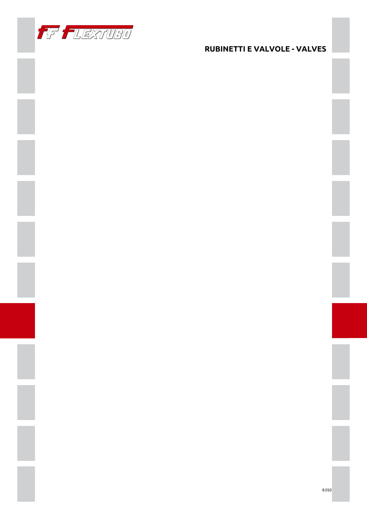

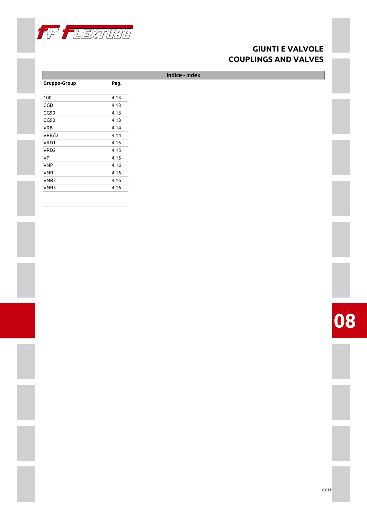<span id="page-10-0"></span>

<span id="page-10-1"></span>

|              |      | Indice - Index |  |
|--------------|------|----------------|--|
| Gruppo-Group | Pag. |                |  |
| 100          | 4.13 |                |  |
| GGD          | 4.13 |                |  |
| GG90         | 4.13 |                |  |
| GG90         | 4.13 |                |  |
| <b>VRB</b>   | 4.14 |                |  |
| VRB/D        | 4.14 |                |  |
| VRD1         | 4.15 |                |  |
| VRD2         | 4.15 |                |  |
| VP           | 4.15 |                |  |
| <b>VNP</b>   | 4.16 |                |  |
| <b>VNR</b>   | 4.16 |                |  |
| VNR3         | 4.16 |                |  |
| VNR5         | 4.16 |                |  |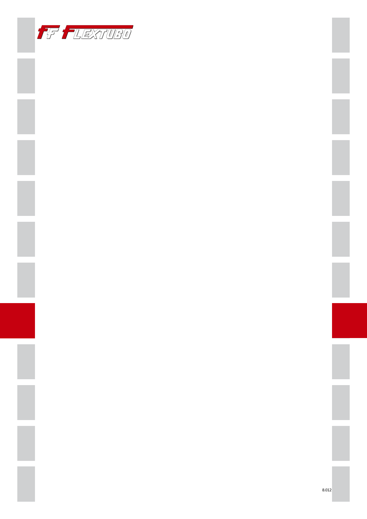

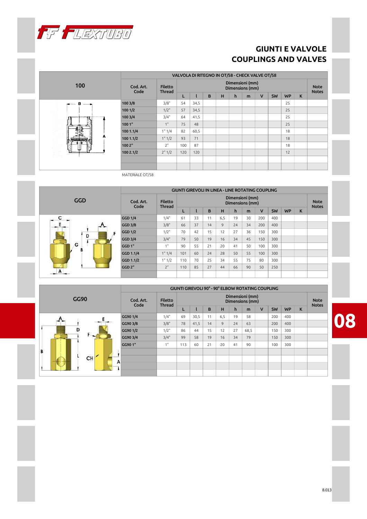

|  |                        |                   |                          |     |      |   | VALVOLA DI RITEGNO IN OT/58 - CHECK VALVE OT/58 |   |                                    |              |    |           |   |                             |
|--|------------------------|-------------------|--------------------------|-----|------|---|-------------------------------------------------|---|------------------------------------|--------------|----|-----------|---|-----------------------------|
|  | 100                    | Cod. Art.<br>Code | <b>Filetto</b><br>Thread |     |      |   |                                                 |   | Dimensioni (mm)<br>Dimensions (mm) |              |    |           |   | <b>Note</b><br><b>Notes</b> |
|  |                        |                   |                          | L   |      | B | н                                               | h | m                                  | $\mathsf{v}$ | SW | <b>WP</b> | K |                             |
|  | в<br><b>CONTRACTOR</b> | 100 3/8           | 3/8"                     | 54  | 34,5 |   |                                                 |   |                                    |              |    | 25        |   |                             |
|  |                        | 1001/2            | 1/2"                     | 57  | 34,5 |   |                                                 |   |                                    |              |    | 25        |   |                             |
|  |                        | 100 3/4           | 3/4"                     | 64  | 41,5 |   |                                                 |   |                                    |              |    | 25        |   |                             |
|  |                        | 100 1"            | 1"                       | 75  | 48   |   |                                                 |   |                                    |              |    | 25        |   |                             |
|  |                        | 100 1.1/4         | 1" 1/4                   | 82  | 60,5 |   |                                                 |   |                                    |              |    | 18        |   |                             |
|  | A                      | 100 1.1/2         | 1" 1/2                   | 93  | 71   |   |                                                 |   |                                    |              |    | 18        |   |                             |
|  |                        | 1002"             | 2"                       | 100 | 87   |   |                                                 |   |                                    |              |    | 18        |   |                             |
|  |                        | 1002.1/2          | 2" 1/2                   | 120 | 120  |   |                                                 |   |                                    |              |    | 12        |   |                             |
|  |                        |                   |                          |     |      |   |                                                 |   |                                    |              |    |           |   |                             |
|  |                        |                   |                          |     |      |   |                                                 |   |                                    |              |    |           |   |                             |

MATERIALE OT/58

|        |                   |                                 | GIUNTI GIREVOLI IN LINEA - LINE ROTATING COUPLING |    |    |     |                                    |    |              |           |           |   |                             |
|--------|-------------------|---------------------------------|---------------------------------------------------|----|----|-----|------------------------------------|----|--------------|-----------|-----------|---|-----------------------------|
| GGD    | Cod. Art.<br>Code | <b>Filetto</b><br><b>Thread</b> |                                                   |    |    |     | Dimensioni (mm)<br>Dimensions (mm) |    |              |           |           |   | <b>Note</b><br><b>Notes</b> |
|        |                   |                                 | L                                                 |    | B  | н   | h.                                 | m  | $\mathsf{V}$ | <b>SW</b> | <b>WP</b> | K |                             |
| C      | <b>GGD 1/4</b>    | 1/4"                            | 61                                                | 33 | 11 | 6,5 | 19                                 | 30 | 200          | 400       |           |   |                             |
| D      | <b>GGD 3/8</b>    | 3/8"                            | 66                                                | 37 | 14 | 9   | 24                                 | 34 | 200          | 400       |           |   |                             |
|        | <b>GGD 1/2</b>    | 1/2"                            | 70                                                | 42 | 15 | 12  | 27                                 | 36 | 150          | 300       |           |   |                             |
|        | $GGD$ 3/4         | 3/4"                            | 79                                                | 50 | 19 | 16  | 34                                 | 45 | 150          | 300       |           |   |                             |
| G<br>B | GGD 1"            | 1"                              | 90                                                | 55 | 21 | 20  | 41                                 | 50 | 100          | 300       |           |   |                             |
|        | GGD 1.1/4         | 1" 1/4                          | 101                                               | 60 | 24 | 28  | 50                                 | 55 | 100          | 300       |           |   |                             |
|        | GGD 1.1/2         | 1" 1/2                          | 110                                               | 70 | 25 | 34  | 55                                 | 75 | 80           | 300       |           |   |                             |
|        | GGD <sub>2"</sub> | 2"                              | 110                                               | 85 | 27 | 44  | 66                                 | 90 | 50           | 250       |           |   |                             |
|        |                   |                                 |                                                   |    |    |     |                                    |    |              |           |           |   |                             |
| A      |                   |                                 |                                                   |    |    |     |                                    |    |              |           |           |   |                             |

|      |                   |                                 |     |      |    |     |    | GIUNTI GIREVOLI 90° - 90° ELBOW ROTATING COUPLING |              |           |           |   |                             |
|------|-------------------|---------------------------------|-----|------|----|-----|----|---------------------------------------------------|--------------|-----------|-----------|---|-----------------------------|
| GG90 | Cod. Art.<br>Code | <b>Filetto</b><br><b>Thread</b> |     |      |    |     |    | Dimensioni (mm)<br>Dimensions (mm)                |              |           |           |   | <b>Note</b><br><b>Notes</b> |
|      |                   |                                 | L   |      | B  | н   | h. | m                                                 | $\mathsf{v}$ | <b>SW</b> | <b>WP</b> | K |                             |
|      | GG90 1/4          | 1/4"                            | 69  | 30,5 | 11 | 6,5 | 19 | 58                                                |              | 200       | 400       |   |                             |
|      | GG90 3/8          | 3/8"                            | 78  | 41,5 | 14 | 9   | 24 | 63                                                |              | 200       | 400       |   |                             |
| D    | GG90 1/2          | 1/2"                            | 86  | 44   | 15 | 12  | 27 | 68,5                                              |              | 150       | 300       |   |                             |
|      | GG90 3/4          | 3/4"                            | 99  | 58   | 19 | 16  | 34 | 79                                                |              | 150       | 300       |   |                             |
|      | GG90 1"           | 1"                              | 113 | 60   | 21 | 20  | 41 | 90                                                |              | 100       | 300       |   |                             |
| B    |                   |                                 |     |      |    |     |    |                                                   |              |           |           |   |                             |
| CH   | А                 |                                 |     |      |    |     |    |                                                   |              |           |           |   |                             |
|      |                   |                                 |     |      |    |     |    |                                                   |              |           |           |   |                             |
|      |                   |                                 |     |      |    |     |    |                                                   |              |           |           |   |                             |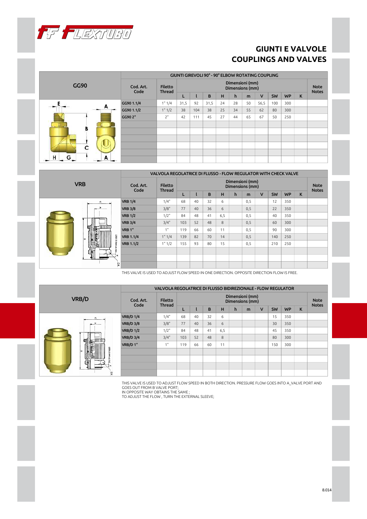

|        |                   |                                 |      |     |      |    |                                    |    | GIUNTI GIREVOLI 90° - 90° ELBOW ROTATING COUPLING |     |           |   |                             |
|--------|-------------------|---------------------------------|------|-----|------|----|------------------------------------|----|---------------------------------------------------|-----|-----------|---|-----------------------------|
| GG90   | Cod. Art.<br>Code | <b>Filetto</b><br><b>Thread</b> |      |     |      |    | Dimensioni (mm)<br>Dimensions (mm) |    |                                                   |     |           |   | <b>Note</b><br><b>Notes</b> |
|        |                   |                                 | L    |     | B    | H  | h.                                 | m  | $\mathsf{V}$                                      | SW  | <b>WP</b> | K |                             |
| A      | GG90 1.1/4        | 1" 1/4                          | 31,5 | 92  | 31,5 | 24 | 28                                 | 50 | 56,5                                              | 100 | 300       |   |                             |
|        | GG90 1.1/2        | 1" 1/2                          | 38   | 104 | 38   | 25 | 34                                 | 55 | 62                                                | 80  | 300       |   |                             |
|        | GG90 2"           | 2"                              | 42   | 111 | 45   | 27 | 44                                 | 65 | 67                                                | 50  | 250       |   |                             |
|        |                   |                                 |      |     |      |    |                                    |    |                                                   |     |           |   |                             |
| B      |                   |                                 |      |     |      |    |                                    |    |                                                   |     |           |   |                             |
|        |                   |                                 |      |     |      |    |                                    |    |                                                   |     |           |   |                             |
|        |                   |                                 |      |     |      |    |                                    |    |                                                   |     |           |   |                             |
|        |                   |                                 |      |     |      |    |                                    |    |                                                   |     |           |   |                             |
| н<br>G |                   |                                 |      |     |      |    |                                    |    |                                                   |     |           |   |                             |

|  |                                   |                   | <b>VALVOLA REGOLATRICE DI FLUSSO - FLOW REGULATOR WITH CHECK VALVE</b> |     |    |     |    |     |                                    |              |           |           |   |                             |
|--|-----------------------------------|-------------------|------------------------------------------------------------------------|-----|----|-----|----|-----|------------------------------------|--------------|-----------|-----------|---|-----------------------------|
|  | <b>VRB</b>                        | Cod. Art.<br>Code | <b>Filetto</b><br><b>Thread</b>                                        |     |    |     |    |     | Dimensioni (mm)<br>Dimensions (mm) |              |           |           |   | <b>Note</b><br><b>Notes</b> |
|  |                                   |                   |                                                                        | L   |    | B   | H  | h   | m                                  | $\mathsf{V}$ | <b>SW</b> | <b>WP</b> | K |                             |
|  | o                                 | <b>VRB 1/4</b>    | 1/4"                                                                   | 68  | 40 | 32  | 6  |     | 0,5                                |              | 12        | 350       |   |                             |
|  | $\rightarrow$                     | <b>VRB 3/8</b>    | 3/8"                                                                   | 77  | 40 | 36  | 6  |     | 0,5                                |              | 22        | 350       |   |                             |
|  | <b>VRB 1/2</b>                    | 1/2"              | 84                                                                     | 48  | 41 | 6,5 |    | 0,5 |                                    | 40           | 350       |           |   |                             |
|  | <b>VRB 3/4</b>                    | 3/4"              | 103                                                                    | 52  | 48 | 8   |    | 0,5 |                                    | 60           | 300       |           |   |                             |
|  | ⊠<br><b>AND THE REAL PROPERTY</b> | <b>VRB 1"</b>     | 1"                                                                     | 119 | 66 | 60  | 11 |     | 0,5                                |              | 90        | 300       |   |                             |
|  | Easter<br>m.                      | <b>VRB 1.1/4</b>  | 1" 1/4                                                                 | 139 | 82 | 70  | 14 |     | 0,5                                |              | 140       | 250       |   |                             |
|  |                                   | <b>VRB 1.1/2</b>  | 1" 1/2                                                                 | 155 | 93 | 80  | 15 |     | 0,5                                |              | 210       | 250       |   |                             |
|  |                                   |                   |                                                                        |     |    |     |    |     |                                    |              |           |           |   |                             |
|  |                                   |                   |                                                                        |     |    |     |    |     |                                    |              |           |           |   |                             |
|  | 모                                 |                   |                                                                        |     |    |     |    |     |                                    |              |           |           |   |                             |

THIS VALVE IS USED TO ADJUST FLOW SPEED IN ONE DIRECTION. OPPOSITE DIRECTION FLOW IS FREE.

| VRB/D                                         |
|-----------------------------------------------|
| ō<br>r<br>Zwai Dirasan (Chase)<br>ᆷ<br>×<br>오 |

| VALVOLA REGOLATRICE DI FLUSSO BIDIREZIONALE - FLOW REGULATOR |                                 |     |    |    |     |   |                                    |              |     |           |   |                             |  |
|--------------------------------------------------------------|---------------------------------|-----|----|----|-----|---|------------------------------------|--------------|-----|-----------|---|-----------------------------|--|
| Cod. Art.<br>Code                                            | <b>Filetto</b><br><b>Thread</b> |     |    |    |     |   | Dimensioni (mm)<br>Dimensions (mm) |              |     |           |   | <b>Note</b><br><b>Notes</b> |  |
|                                                              |                                 | L   |    | B  | H   | h | m                                  | $\mathsf{V}$ | SW  | <b>WP</b> | K |                             |  |
| <b>VRB/D 1/4</b>                                             | 1/4"                            | 68  | 40 | 32 | 6   |   |                                    |              | 15  | 350       |   |                             |  |
| <b>VRB/D 3/8</b>                                             | 3/8"                            | 77  | 40 | 36 | 6   |   |                                    |              | 30  | 350       |   |                             |  |
| <b>VRB/D 1/2</b>                                             | 1/2"                            | 84  | 48 | 41 | 6,5 |   |                                    |              | 45  | 350       |   |                             |  |
| <b>VRB/D 3/4</b>                                             | 3/4"                            | 103 | 52 | 48 | 8   |   |                                    |              | 80  | 300       |   |                             |  |
| <b>VRB/D 1"</b>                                              | 1"                              | 119 | 66 | 60 | 11  |   |                                    |              | 150 | 300       |   |                             |  |
|                                                              |                                 |     |    |    |     |   |                                    |              |     |           |   |                             |  |
|                                                              |                                 |     |    |    |     |   |                                    |              |     |           |   |                             |  |
|                                                              |                                 |     |    |    |     |   |                                    |              |     |           |   |                             |  |
|                                                              |                                 |     |    |    |     |   |                                    |              |     |           |   |                             |  |

THIS VALVE IS USED TO ADJUST FLOW SPEED IN BOTH DIRECTION. PRESSURE FLOW GOES INTO A\_VALVE PORT AND<br>GOES OUT FROM B VALVE PORT;<br>IN OPPOSITE WAY OBTAINS THE SAME ;<br>TO ADJUST THE FLOW , TURN THE EXTERNAL SLEEVE;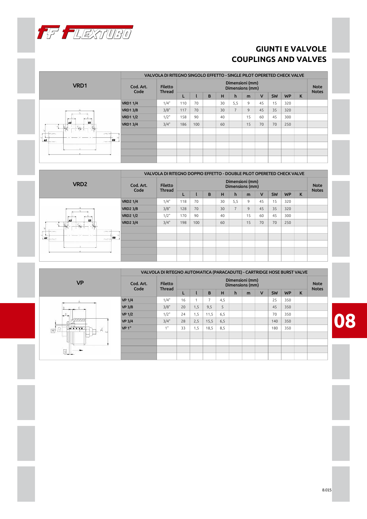

|                                       |                   | VALVOLA DI RITEGNO SINGOLO EFFETTO - SINGLE PILOT OPERETED CHECK VALVE |                                    |     |   |    |                |    |              |           |           |    |              |  |
|---------------------------------------|-------------------|------------------------------------------------------------------------|------------------------------------|-----|---|----|----------------|----|--------------|-----------|-----------|----|--------------|--|
| VRD1                                  | Cod. Art.<br>Code | <b>Filetto</b><br><b>Thread</b>                                        | Dimensioni (mm)<br>Dimensions (mm) |     |   |    |                |    |              |           |           |    |              |  |
|                                       |                   |                                                                        | ட                                  |     | B | н  | h              | m  | $\mathsf{V}$ | <b>SW</b> | <b>WP</b> | K. | <b>Notes</b> |  |
|                                       | <b>VRD1 1/4</b>   | 1/4"                                                                   | 110                                | 70  |   | 30 | 5,5            | 9  | 45           | 15        | 320       |    |              |  |
|                                       | <b>VRD13/8</b>    | 3/8"                                                                   | 117                                | 70  |   | 30 | $\overline{7}$ | 9  | 45           | 35        | 320       |    |              |  |
|                                       | <b>VRD11/2</b>    | 1/2"                                                                   | 158                                | 90  |   | 40 |                | 15 | 60           | 45        | 300       |    |              |  |
| $\overline{\mathbf{u}}$<br>AI.        | <b>VRD13/4</b>    | 3/4"                                                                   | 186                                | 100 |   | 60 |                | 15 | 70           | 70        | 250       |    |              |  |
| <b>STATISTICS</b>                     |                   |                                                                        |                                    |     |   |    |                |    |              |           |           |    |              |  |
| $\frac{1}{2}$<br>U2<br><b>Talento</b> |                   |                                                                        |                                    |     |   |    |                |    |              |           |           |    |              |  |
|                                       |                   |                                                                        |                                    |     |   |    |                |    |              |           |           |    |              |  |
|                                       |                   |                                                                        |                                    |     |   |    |                |    |              |           |           |    |              |  |
|                                       |                   |                                                                        |                                    |     |   |    |                |    |              |           |           |    |              |  |

|                                                             |                   | VALVOLA DI RITEGNO DOPPIO EFFETTO - DOUBLE PILOT OPERETED CHECK VALVE                                                     |                                    |   |   |    |                          |           |           |    |              |  |  |  |
|-------------------------------------------------------------|-------------------|---------------------------------------------------------------------------------------------------------------------------|------------------------------------|---|---|----|--------------------------|-----------|-----------|----|--------------|--|--|--|
| VRD <sub>2</sub>                                            | Cod. Art.<br>Code | <b>Filetto</b><br><b>Thread</b><br>L<br>1/4"<br>70<br>118<br>3/8"<br>128<br>70<br>1/2"<br>90<br>170<br>3/4"<br>198<br>100 | Dimensioni (mm)<br>Dimensions (mm) |   |   |    |                          |           |           |    |              |  |  |  |
|                                                             |                   |                                                                                                                           | B                                  | н | h | m  | $\mathsf{v}$             | <b>SW</b> | <b>WP</b> | K  | <b>Notes</b> |  |  |  |
|                                                             | <b>VRD2 1/4</b>   |                                                                                                                           |                                    |   |   | 30 | 5,5                      | 9         | 45        | 15 | 320          |  |  |  |
|                                                             | <b>VRD2 3/8</b>   |                                                                                                                           |                                    |   |   | 30 | $\overline{\phantom{a}}$ | 9         | 45        | 35 | 320          |  |  |  |
| $\overline{M}$<br>$\overline{\mathbf{u}}$                   | <b>VRD2 1/2</b>   |                                                                                                                           |                                    |   |   | 40 |                          | 15        | 60        | 45 | 300          |  |  |  |
|                                                             | <b>VRD2 3/4</b>   |                                                                                                                           |                                    |   |   | 60 |                          | 15        | 70        | 70 | 250          |  |  |  |
| <b><i><u><i><u>American</u></i></u></i></b><br><b>START</b> |                   |                                                                                                                           |                                    |   |   |    |                          |           |           |    |              |  |  |  |
| U2<br>, 42<br><b>Programs</b><br><b>TAXABLE</b>             |                   |                                                                                                                           |                                    |   |   |    |                          |           |           |    |              |  |  |  |
|                                                             |                   |                                                                                                                           |                                    |   |   |    |                          |           |           |    |              |  |  |  |
|                                                             |                   |                                                                                                                           |                                    |   |   |    |                          |           |           |    |              |  |  |  |
|                                                             |                   |                                                                                                                           |                                    |   |   |    |                          |           |           |    |              |  |  |  |

|                                |                   | VALVOLA DI RITEGNO AUTOMATICA (PARACADUTE) - CARTRIDGE HOSE BURST VALVE |                                    |     |                |      |   |   |              |     |           |   |              |  |  |
|--------------------------------|-------------------|-------------------------------------------------------------------------|------------------------------------|-----|----------------|------|---|---|--------------|-----|-----------|---|--------------|--|--|
| <b>VP</b>                      | Cod. Art.<br>Code | <b>Filetto</b><br><b>Thread</b>                                         | Dimensioni (mm)<br>Dimensions (mm) |     |                |      |   |   |              |     |           |   |              |  |  |
|                                |                   |                                                                         | L                                  |     | B              | H    | h | m | $\mathsf{V}$ | SW  | <b>WP</b> | K | <b>Notes</b> |  |  |
|                                | <b>VP 1/4</b>     | 1/4"                                                                    | 16                                 |     | $\overline{ }$ | 4,5  |   |   |              | 25  | 350       |   |              |  |  |
|                                | <b>VP 3/8</b>     | 3/8"                                                                    | 20                                 | 1,5 | 9,5            | 5    |   |   |              | 45  | 350       |   |              |  |  |
|                                | <b>VP 1/2</b>     | 1/2"                                                                    | 24                                 | 1,5 | 11,5           | 6,5  |   |   |              | 70  | 350       |   |              |  |  |
|                                | <b>VP 3/4</b>     | 3/4"                                                                    | 28                                 | 2,5 | 15,5           | 6, 5 |   |   |              | 140 | 350       |   |              |  |  |
| 1.111<br>$\lvert \cdot \rvert$ | <b>VP 1"</b>      | 1"                                                                      | 33                                 | 1,5 | 18,5           | 8,5  |   |   |              | 180 | 350       |   |              |  |  |
|                                |                   |                                                                         |                                    |     |                |      |   |   |              |     |           |   |              |  |  |
|                                |                   |                                                                         |                                    |     |                |      |   |   |              |     |           |   |              |  |  |
| $\boxed{S}$                    |                   |                                                                         |                                    |     |                |      |   |   |              |     |           |   |              |  |  |
|                                |                   |                                                                         |                                    |     |                |      |   |   |              |     |           |   |              |  |  |